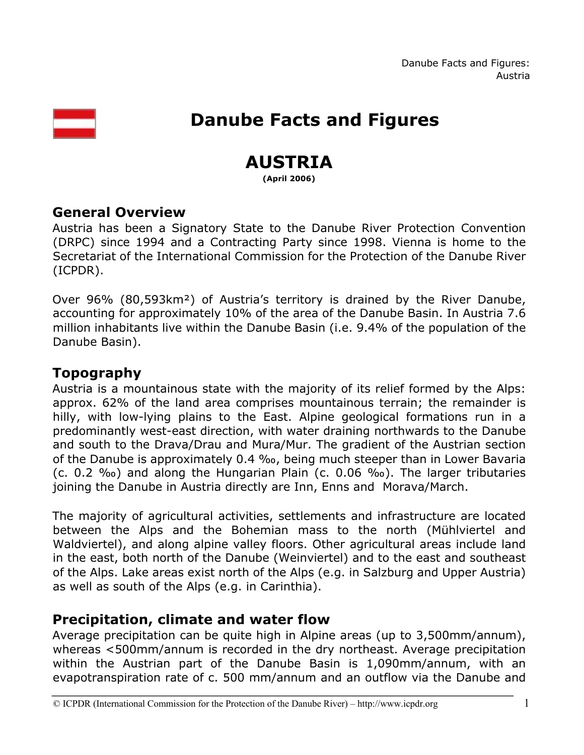

# **Danube Facts and Figures**

# **AUSTRIA**

**(April 2006)** 

## **General Overview**

Austria has been a Signatory State to the Danube River Protection Convention (DRPC) since 1994 and a Contracting Party since 1998. Vienna is home to the Secretariat of the International Commission for the Protection of the Danube River (ICPDR).

Over 96% (80,593km²) of Austria's territory is drained by the River Danube, accounting for approximately 10% of the area of the Danube Basin. In Austria 7.6 million inhabitants live within the Danube Basin (i.e. 9.4% of the population of the Danube Basin).

# **Topography**

Austria is a mountainous state with the majority of its relief formed by the Alps: approx. 62% of the land area comprises mountainous terrain; the remainder is hilly, with low-lying plains to the East. Alpine geological formations run in a predominantly west-east direction, with water draining northwards to the Danube and south to the Drava/Drau and Mura/Mur. The gradient of the Austrian section of the Danube is approximately 0.4 ‰, being much steeper than in Lower Bavaria (c. 0.2 ‰) and along the Hungarian Plain (c. 0.06 ‰). The larger tributaries joining the Danube in Austria directly are Inn, Enns and Morava/March.

The majority of agricultural activities, settlements and infrastructure are located between the Alps and the Bohemian mass to the north (Mühlviertel and Waldviertel), and along alpine valley floors. Other agricultural areas include land in the east, both north of the Danube (Weinviertel) and to the east and southeast of the Alps. Lake areas exist north of the Alps (e.g. in Salzburg and Upper Austria) as well as south of the Alps (e.g. in Carinthia).

# **Precipitation, climate and water flow**

Average precipitation can be quite high in Alpine areas (up to 3,500mm/annum), whereas <500mm/annum is recorded in the dry northeast. Average precipitation within the Austrian part of the Danube Basin is 1,090mm/annum, with an evapotranspiration rate of c. 500 mm/annum and an outflow via the Danube and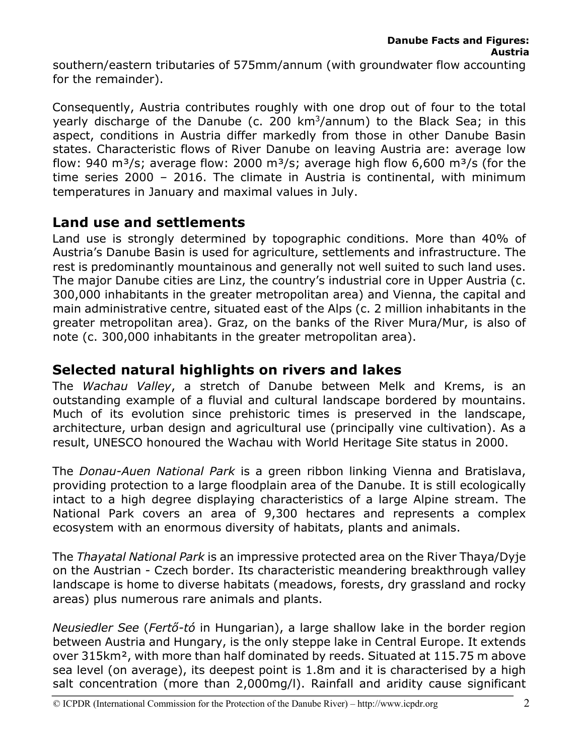southern/eastern tributaries of 575mm/annum (with groundwater flow accounting for the remainder).

Consequently, Austria contributes roughly with one drop out of four to the total yearly discharge of the Danube (c. 200  $km^3$ /annum) to the Black Sea; in this aspect, conditions in Austria differ markedly from those in other Danube Basin states. Characteristic flows of River Danube on leaving Austria are: average low flow: 940 m<sup>3</sup>/s; average flow: 2000 m<sup>3</sup>/s; average high flow 6,600 m<sup>3</sup>/s (for the time series 2000 – 2016. The climate in Austria is continental, with minimum temperatures in January and maximal values in July.

# **Land use and settlements**

Land use is strongly determined by topographic conditions. More than 40% of Austria's Danube Basin is used for agriculture, settlements and infrastructure. The rest is predominantly mountainous and generally not well suited to such land uses. The major Danube cities are Linz, the country's industrial core in Upper Austria (c. 300,000 inhabitants in the greater metropolitan area) and Vienna, the capital and main administrative centre, situated east of the Alps (c. 2 million inhabitants in the greater metropolitan area). Graz, on the banks of the River Mura/Mur, is also of note (c. 300,000 inhabitants in the greater metropolitan area).

# **Selected natural highlights on rivers and lakes**

The *Wachau Valley*, a stretch of Danube between Melk and Krems, is an outstanding example of a fluvial and cultural landscape bordered by mountains. Much of its evolution since prehistoric times is preserved in the landscape, architecture, urban design and agricultural use (principally vine cultivation). As a result, UNESCO honoured the Wachau with World Heritage Site status in 2000.

The *Donau-Auen National Park* is a green ribbon linking Vienna and Bratislava, providing protection to a large floodplain area of the Danube. It is still ecologically intact to a high degree displaying characteristics of a large Alpine stream. The National Park covers an area of 9,300 hectares and represents a complex ecosystem with an enormous diversity of habitats, plants and animals.

The *Thayatal National Park* is an impressive protected area on the River Thaya/Dyje on the Austrian - Czech border. Its characteristic meandering breakthrough valley landscape is home to diverse habitats (meadows, forests, dry grassland and rocky areas) plus numerous rare animals and plants.

*Neusiedler See* (*Fertő-tó* in Hungarian), a large shallow lake in the border region between Austria and Hungary, is the only steppe lake in Central Europe. It extends over 315km², with more than half dominated by reeds. Situated at 115.75 m above sea level (on average), its deepest point is 1.8m and it is characterised by a high salt concentration (more than 2,000mg/l). Rainfall and aridity cause significant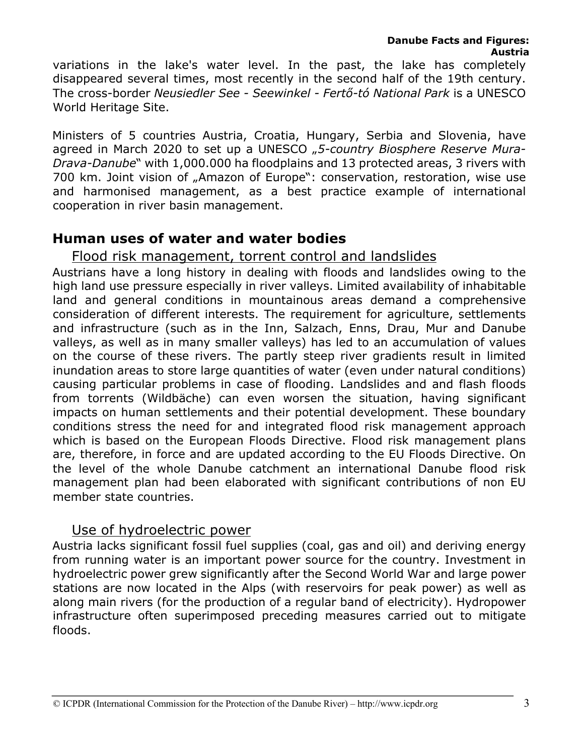variations in the lake's water level. In the past, the lake has completely disappeared several times, most recently in the second half of the 19th century. The cross-border *Neusiedler See - Seewinkel - Fertő-tó National Park* is a UNESCO World Heritage Site.

Ministers of 5 countries Austria, Croatia, Hungary, Serbia and Slovenia, have agreed in March 2020 to set up a UNESCO "5-country Biosphere Reserve Mura-*Drava-Danube*" with 1,000.000 ha floodplains and 13 protected areas, 3 rivers with 700 km. Joint vision of "Amazon of Europe": conservation, restoration, wise use and harmonised management, as a best practice example of international cooperation in river basin management.

#### **Human uses of water and water bodies**

## Flood risk management, torrent control and landslides

Austrians have a long history in dealing with floods and landslides owing to the high land use pressure especially in river valleys. Limited availability of inhabitable land and general conditions in mountainous areas demand a comprehensive consideration of different interests. The requirement for agriculture, settlements and infrastructure (such as in the Inn, Salzach, Enns, Drau, Mur and Danube valleys, as well as in many smaller valleys) has led to an accumulation of values on the course of these rivers. The partly steep river gradients result in limited inundation areas to store large quantities of water (even under natural conditions) causing particular problems in case of flooding. Landslides and and flash floods from torrents (Wildbäche) can even worsen the situation, having significant impacts on human settlements and their potential development. These boundary conditions stress the need for and integrated flood risk management approach which is based on the European Floods Directive. Flood risk management plans are, therefore, in force and are updated according to the EU Floods Directive. On the level of the whole Danube catchment an international Danube flood risk management plan had been elaborated with significant contributions of non EU member state countries.

#### Use of hydroelectric power

Austria lacks significant fossil fuel supplies (coal, gas and oil) and deriving energy from running water is an important power source for the country. Investment in hydroelectric power grew significantly after the Second World War and large power stations are now located in the Alps (with reservoirs for peak power) as well as along main rivers (for the production of a regular band of electricity). Hydropower infrastructure often superimposed preceding measures carried out to mitigate floods.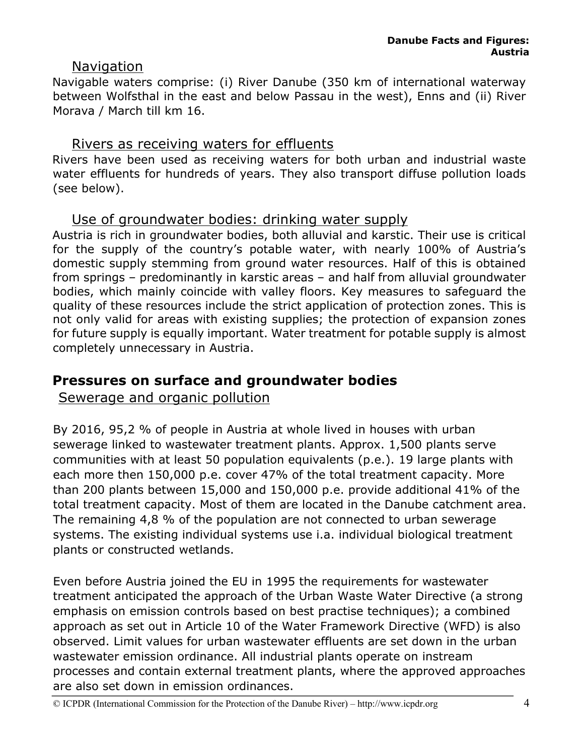## Navigation

Navigable waters comprise: (i) River Danube (350 km of international waterway between Wolfsthal in the east and below Passau in the west), Enns and (ii) River Morava / March till km 16.

## Rivers as receiving waters for effluents

Rivers have been used as receiving waters for both urban and industrial waste water effluents for hundreds of years. They also transport diffuse pollution loads (see below).

## Use of groundwater bodies: drinking water supply

Austria is rich in groundwater bodies, both alluvial and karstic. Their use is critical for the supply of the country's potable water, with nearly 100% of Austria's domestic supply stemming from ground water resources. Half of this is obtained from springs – predominantly in karstic areas – and half from alluvial groundwater bodies, which mainly coincide with valley floors. Key measures to safeguard the quality of these resources include the strict application of protection zones. This is not only valid for areas with existing supplies; the protection of expansion zones for future supply is equally important. Water treatment for potable supply is almost completely unnecessary in Austria.

## **Pressures on surface and groundwater bodies**

Sewerage and organic pollution

By 2016, 95,2 % of people in Austria at whole lived in houses with urban sewerage linked to wastewater treatment plants. Approx. 1,500 plants serve communities with at least 50 population equivalents (p.e.). 19 large plants with each more then 150,000 p.e. cover 47% of the total treatment capacity. More than 200 plants between 15,000 and 150,000 p.e. provide additional 41% of the total treatment capacity. Most of them are located in the Danube catchment area. The remaining 4,8 % of the population are not connected to urban sewerage systems. The existing individual systems use i.a. individual biological treatment plants or constructed wetlands.

Even before Austria joined the EU in 1995 the requirements for wastewater treatment anticipated the approach of the Urban Waste Water Directive (a strong emphasis on emission controls based on best practise techniques); a combined approach as set out in Article 10 of the Water Framework Directive (WFD) is also observed. Limit values for urban wastewater effluents are set down in the urban wastewater emission ordinance. All industrial plants operate on instream processes and contain external treatment plants, where the approved approaches are also set down in emission ordinances.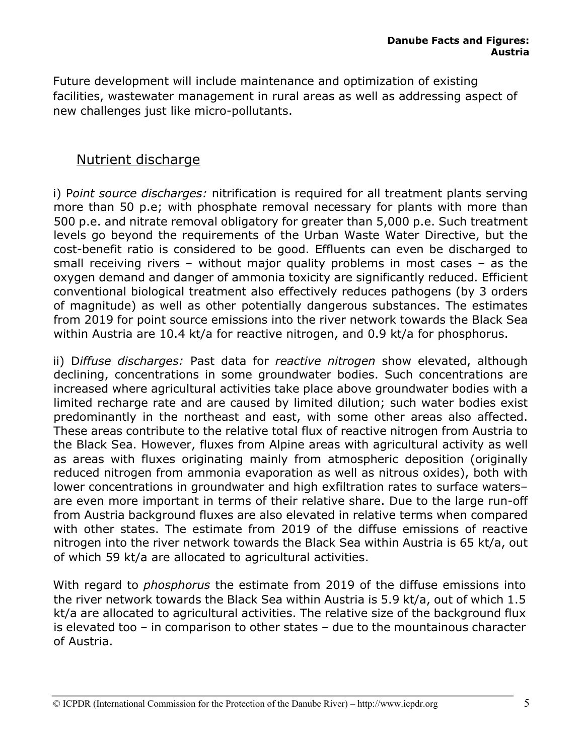Future development will include maintenance and optimization of existing facilities, wastewater management in rural areas as well as addressing aspect of new challenges just like micro-pollutants.

## Nutrient discharge

i) P*oint source discharges:* nitrification is required for all treatment plants serving more than 50 p.e; with phosphate removal necessary for plants with more than 500 p.e. and nitrate removal obligatory for greater than 5,000 p.e. Such treatment levels go beyond the requirements of the Urban Waste Water Directive, but the cost-benefit ratio is considered to be good. Effluents can even be discharged to small receiving rivers – without major quality problems in most cases – as the oxygen demand and danger of ammonia toxicity are significantly reduced. Efficient conventional biological treatment also effectively reduces pathogens (by 3 orders of magnitude) as well as other potentially dangerous substances. The estimates from 2019 for point source emissions into the river network towards the Black Sea within Austria are 10.4 kt/a for reactive nitrogen, and 0.9 kt/a for phosphorus.

ii) D*iffuse discharges:* Past data for *reactive nitrogen* show elevated, although declining, concentrations in some groundwater bodies. Such concentrations are increased where agricultural activities take place above groundwater bodies with a limited recharge rate and are caused by limited dilution; such water bodies exist predominantly in the northeast and east, with some other areas also affected. These areas contribute to the relative total flux of reactive nitrogen from Austria to the Black Sea. However, fluxes from Alpine areas with agricultural activity as well as areas with fluxes originating mainly from atmospheric deposition (originally reduced nitrogen from ammonia evaporation as well as nitrous oxides), both with lower concentrations in groundwater and high exfiltration rates to surface waters– are even more important in terms of their relative share. Due to the large run-off from Austria background fluxes are also elevated in relative terms when compared with other states. The estimate from 2019 of the diffuse emissions of reactive nitrogen into the river network towards the Black Sea within Austria is 65 kt/a, out of which 59 kt/a are allocated to agricultural activities.

With regard to *phosphorus* the estimate from 2019 of the diffuse emissions into the river network towards the Black Sea within Austria is 5.9 kt/a, out of which 1.5 kt/a are allocated to agricultural activities. The relative size of the background flux is elevated too – in comparison to other states – due to the mountainous character of Austria.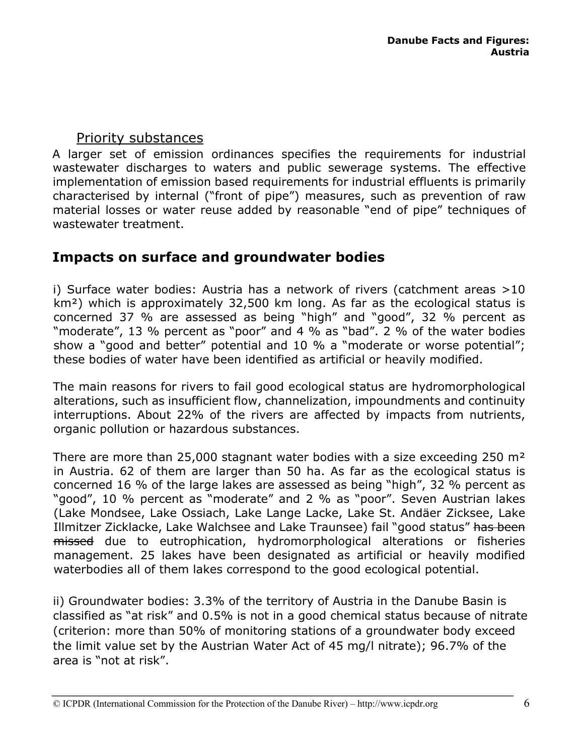## Priority substances

A larger set of emission ordinances specifies the requirements for industrial wastewater discharges to waters and public sewerage systems. The effective implementation of emission based requirements for industrial effluents is primarily characterised by internal ("front of pipe") measures, such as prevention of raw material losses or water reuse added by reasonable "end of pipe" techniques of wastewater treatment.

# **Impacts on surface and groundwater bodies**

i) Surface water bodies: Austria has a network of rivers (catchment areas >10 km²) which is approximately 32,500 km long. As far as the ecological status is concerned 37 % are assessed as being "high" and "good", 32 % percent as "moderate", 13 % percent as "poor" and 4 % as "bad". 2 % of the water bodies show a "good and better" potential and 10 % a "moderate or worse potential"; these bodies of water have been identified as artificial or heavily modified.

The main reasons for rivers to fail good ecological status are hydromorphological alterations, such as insufficient flow, channelization, impoundments and continuity interruptions. About 22% of the rivers are affected by impacts from nutrients, organic pollution or hazardous substances.

There are more than 25,000 stagnant water bodies with a size exceeding 250 m² in Austria. 62 of them are larger than 50 ha. As far as the ecological status is concerned 16 % of the large lakes are assessed as being "high", 32 % percent as "good", 10 % percent as "moderate" and 2 % as "poor". Seven Austrian lakes (Lake Mondsee, Lake Ossiach, Lake Lange Lacke, Lake St. Andäer Zicksee, Lake Illmitzer Zicklacke, Lake Walchsee and Lake Traunsee) fail "good status" has been missed due to eutrophication, hydromorphological alterations or fisheries management. 25 lakes have been designated as artificial or heavily modified waterbodies all of them lakes correspond to the good ecological potential.

ii) Groundwater bodies: 3.3% of the territory of Austria in the Danube Basin is classified as "at risk" and 0.5% is not in a good chemical status because of nitrate (criterion: more than 50% of monitoring stations of a groundwater body exceed the limit value set by the Austrian Water Act of 45 mg/l nitrate); 96.7% of the area is "not at risk".